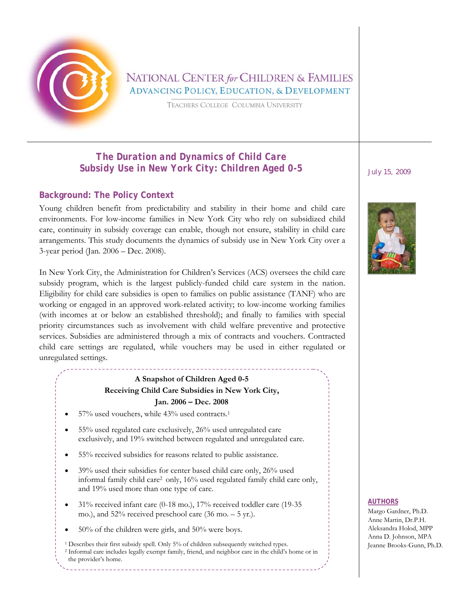

# NATIONAL CENTER for CHILDREN & FAMILIES **ADVANCING POLICY, EDUCATION, & DEVELOPMENT**

TEACHERS COLLEGE COLUMBIA UNIVERSITY

# *The Duration and Dynamics of Child Care Subsidy Use in New York City: Children Aged 0-5 July 15, 2009*

### **Background: The Policy Context**

Young children benefit from predictability and stability in their home and child care environments. For low-income families in New York City who rely on subsidized child care, continuity in subsidy coverage can enable, though not ensure, stability in child care arrangements. This study documents the dynamics of subsidy use in New York City over a 3-year period (Jan. 2006 – Dec. 2008).

In New York City, the Administration for Children's Services (ACS) oversees the child care subsidy program, which is the largest publicly-funded child care system in the nation. Eligibility for child care subsidies is open to families on public assistance (TANF) who are working or engaged in an approved work-related activity; to low-income working families (with incomes at or below an established threshold); and finally to families with special priority circumstances such as involvement with child welfare preventive and protective services. Subsidies are administered through a mix of contracts and vouchers. Contracted child care settings are regulated, while vouchers may be used in either regulated or unregulated settings.

### **A Snapshot of Children Aged 0-5 Receiving Child Care Subsidies in New York City, Jan. 2006 – Dec. 2008**

- 57% used vouchers, while 43% used contracts.1
- 55% used regulated care exclusively, 26% used unregulated care exclusively, and 19% switched between regulated and unregulated care.
- 55% received subsidies for reasons related to public assistance.
- 39% used their subsidies for center based child care only, 26% used informal family child care2 only, 16% used regulated family child care only, and 19% used more than one type of care.
- 31% received infant care (0-18 mo.), 17% received toddler care (19-35 mo.), and  $52\%$  received preschool care (36 mo.  $-5$  yr.).
- 50% of the children were girls, and 50% were boys.
- 1 Describes their first subsidy spell. Only 5% of children subsequently switched types. 2 Informal care includes legally exempt family, friend, and neighbor care in the child's home or in the provider's home.



#### **AUTHORS**

Margo Gardner, Ph.D. Anne Martin, Dr.P.H. Aleksandra Holod, MPP Anna D. Johnson, MPA Jeanne Brooks-Gunn, Ph.D.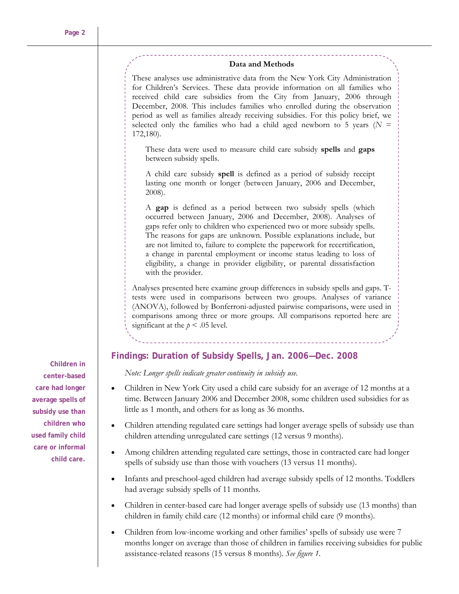#### **Data and Methods**

These analyses use administrative data from the New York City Administration for Children's Services. These data provide information on all families who received child care subsidies from the City from January, 2006 through December, 2008. This includes families who enrolled during the observation period as well as families already receiving subsidies. For this policy brief, we selected only the families who had a child aged newborn to 5 years ( $N =$ 172,180).

These data were used to measure child care subsidy **spells** and **gaps** between subsidy spells.

A child care subsidy **spell** is defined as a period of subsidy receipt lasting one month or longer (between January, 2006 and December, 2008).

A **gap** is defined as a period between two subsidy spells (which occurred between January, 2006 and December, 2008). Analyses of gaps refer only to children who experienced two or more subsidy spells. The reasons for gaps are unknown. Possible explanations include, but are not limited to, failure to complete the paperwork for recertification, a change in parental employment or income status leading to loss of eligibility, a change in provider eligibility, or parental dissatisfaction with the provider.

Analyses presented here examine group differences in subsidy spells and gaps. Ttests were used in comparisons between two groups. Analyses of variance (ANOVA), followed by Bonferroni-adjusted pairwise comparisons, were used in comparisons among three or more groups. All comparisons reported here are significant at the  $p < .05$  level.

#### **Findings: Duration of Subsidy Spells, Jan. 2006—Dec. 2008**

*Note: Longer spells indicate greater continuity in subsidy use.* 

- Children in New York City used a child care subsidy for an average of 12 months at a time. Between January 2006 and December 2008, some children used subsidies for as little as 1 month, and others for as long as 36 months.
- Children attending regulated care settings had longer average spells of subsidy use than children attending unregulated care settings (12 versus 9 months).
- Among children attending regulated care settings, those in contracted care had longer spells of subsidy use than those with vouchers (13 versus 11 months).
- Infants and preschool-aged children had average subsidy spells of 12 months. Toddlers had average subsidy spells of 11 months.
- Children in center-based care had longer average spells of subsidy use (13 months) than children in family child care (12 months) or informal child care (9 months).
- Children from low-income working and other families' spells of subsidy use were 7 months longer on average than those of children in families receiving subsidies for public assistance-related reasons (15 versus 8 months). *See figure 1.*

**Children in center-based care had longer average spells of subsidy use than children who used family child care or informal child care.**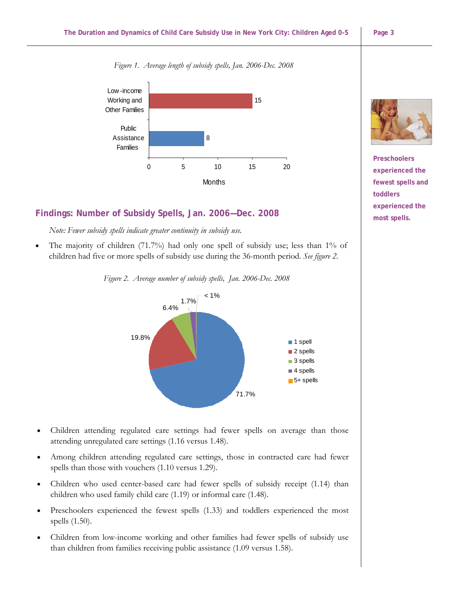



### **Findings: Number of Subsidy Spells, Jan. 2006—Dec. 2008**

*Note: Fewer subsidy spells indicate greater continuity in subsidy use.* 

The majority of children  $(71.7%)$  had only one spell of subsidy use; less than  $1\%$  of children had five or more spells of subsidy use during the 36-month period. *See figure 2.*

*Figure 2. Average number of subsidy spells, Jan. 2006-Dec. 2008*



- Children attending regulated care settings had fewer spells on average than those attending unregulated care settings (1.16 versus 1.48).
- Among children attending regulated care settings, those in contracted care had fewer spells than those with vouchers (1.10 versus 1.29).
- Children who used center-based care had fewer spells of subsidy receipt (1.14) than children who used family child care (1.19) or informal care (1.48).
- Preschoolers experienced the fewest spells (1.33) and toddlers experienced the most spells (1.50).
- Children from low-income working and other families had fewer spells of subsidy use than children from families receiving public assistance (1.09 versus 1.58).



**Preschoolers experienced the fewest spells and toddlers experienced the most spells.**